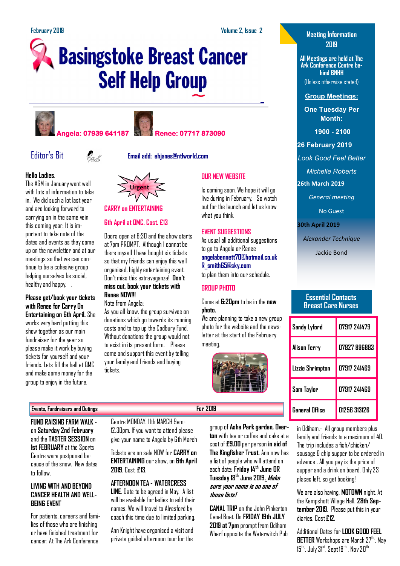# **Basingstoke Breast Cancer Self Help Group**









Editor's Bit **Email add: ehjanes@ntlworld.com**



The AGM in January went well with lots of information to take in. We did such a lot last year and are looking forward to carrying on in the same vein this coming year. It is important to take note of the dates and events as they come up on the newsletter and at our meetings so that we can continue to be a cohesive group helping ourselves be social, healthy and happy. .

#### **Please get/book your tickets with Renee for Carry On Entertaining on 6th April.** She works very hard putting this show together as our main fundraiser for the year so please make it work by buying tickets for yourself and your

friends. Lets fill the hall at QMC and make some money for the group to enjoy in the future.



#### at 7pm PROMPT. Although I cannot be there myself I have bought six tickets so that my friends can enjoy this well

**CARRY on ENTERTAINING**

**6th April at QMC. Cost. £13**

**Urgent**

organised, highly entertaining event. Don't miss this extravaganza! **Don't miss out, book your tickets with Renee NOW!!!**

Doors open at 6:30 and the show starts

Note from Angela:

As you all know, the group survives on donations which go towards its running costs and to top up the Cadbury Fund. Without donations the group would not to exist in its present form. Please come and support this event by telling your family and friends and buying tickets.

## **OUR NEW WEBSITE**

Is coming soon. We hope it will go live during in February. So watch out for the launch and let us know what you think.

### **EVENT SUGGESTIONS**

As usual all additional suggestions to go to Angela or Renee **angelabennett70@hotmail.co.uk R\_smith65@sky.com**

to plan them into our schedule.

### **GROUP PHOTO**

Come at **6:20pm** to be in the **new photo.**

We are planning to take a new group photo for the website and the newsletter at the start of the February meeting.



## **Meeting Information 2019**

**All Meetings are held at The Ark Conference Centre behind BNHH** (Unless otherwise stated)

**Group Meetings:**

**One Tuesday Per Month:**

**1900 - 2100** 

**26 February 2019**

*Look Good Feel Better*

*Michelle Roberts* 

**26th March 2019**

*General meeting*

No Guest

**30th April 2019**

*Alexander Technique*

Jackie Bond

#### **Essential Contacts Breast Care Nurses**

| Sandy Lyford     | 07917 241479 |
|------------------|--------------|
| Alison Terry     | 07827 896883 |
| Lizzie Shrimpton | 07917 241469 |
| Sam Taylor       | 07917 241469 |
| General Office   | 01256 313126 |

**FUND RAISING FARM WALK**  on **Saturday 2nd February**  and the **TASTER SESSION** on **1st FEBRUARY** at the Sports Centre were postponed because of the snow. New dates to follow.

#### **LIVING WITH AND BEYOND CANCER HEALTH AND WELL-BEING EVENT**

For patients, careers and families of those who are finishing or have finished treatment for cancer. At The Ark Conference

Centre MONDAY. 11th MARCH 9am-12.30pm. If you want to attend please give your name to Angela by 6th March

Tickets are on sale NOW for **CARRY on ENTERTAINING** our show, on **6th April 2019**. Cost. **£13**.

### **AFTERNOON TEA - WATERCRESS**

**LINE**. Date to be agreed in May. A list will be available for ladies to add their names, We will travel to Alresford by coach this time due to limited parking.

Ann Knight have organised a visit and private guided afternoon tour for the

group of **Ashe Park garden, Overton** with tea or coffee and cake at a cost of **£9.00** per person **in aid of The Kingfisher Trust.** Ann now has a list of people who will attend on each date**: Friday 14th June OR Tuesday 18th June 2019. Make sure your name is on one of those lists!**

**CANAL TRIP** on the John Pinkerton Canal Boat. On **FRIDAY 19th JULY 2019 at 7pm** prompt from Odiham Wharf opposite the Waterwitch Pub

in Odiham.- All group members plus family and friends to a maximum of 40. The trip includes a fish/chicken/ sausage & chip supper to be ordered in advance . All you pay is the price of supper and a drink on board. Only 23 places left, so get booking!

We are also having. **MOTOWN** night. At the Kempshott Village Hall. **28th September 2019**. Please put this in your diaries. Cost **£12.**

Additional Dates for **LOOK GOOD FEEL BETTER** Workshops are March 27<sup>th</sup>, May  $15^{\text{th}}$ , July  $31^{\text{st}}$ , Sept  $18^{\text{th}}$ , Nov  $20^{\text{th}}$